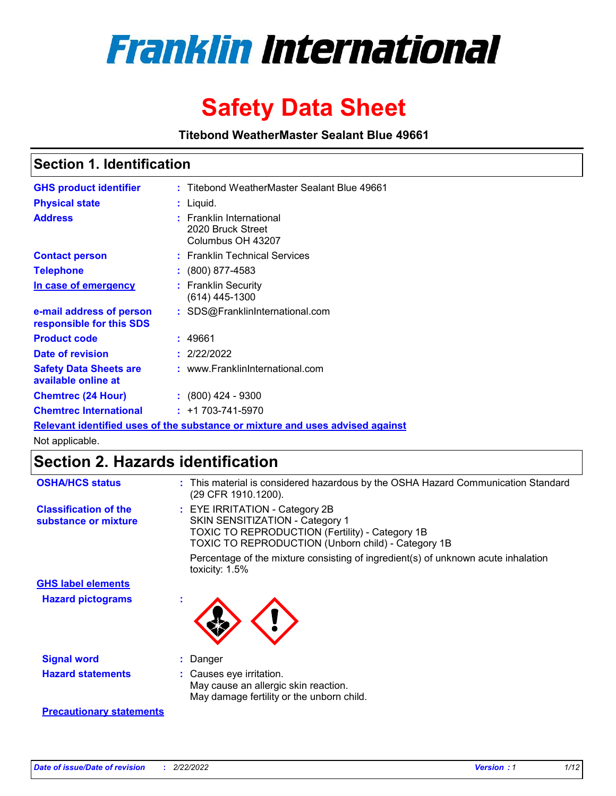

# **Safety Data Sheet**

**Titebond WeatherMaster Sealant Blue 49661**

### **Section 1. Identification**

| <b>GHS product identifier</b>                                                 | : Titebond WeatherMaster Sealant Blue 49661                        |  |  |  |
|-------------------------------------------------------------------------------|--------------------------------------------------------------------|--|--|--|
| <b>Physical state</b>                                                         | : Liquid.                                                          |  |  |  |
| <b>Address</b>                                                                | : Franklin International<br>2020 Bruck Street<br>Columbus OH 43207 |  |  |  |
| <b>Contact person</b>                                                         | : Franklin Technical Services                                      |  |  |  |
| <b>Telephone</b>                                                              | $\colon$ (800) 877-4583                                            |  |  |  |
| In case of emergency                                                          | : Franklin Security<br>(614) 445-1300                              |  |  |  |
| e-mail address of person<br>responsible for this SDS                          | : SDS@FranklinInternational.com                                    |  |  |  |
| <b>Product code</b>                                                           | : 49661                                                            |  |  |  |
| Date of revision                                                              | : 2/22/2022                                                        |  |  |  |
| <b>Safety Data Sheets are</b><br>available online at                          | : www.FranklinInternational.com                                    |  |  |  |
| <b>Chemtrec (24 Hour)</b>                                                     | $: (800)$ 424 - 9300                                               |  |  |  |
| <b>Chemtrec International</b>                                                 | $: +1703 - 741 - 5970$                                             |  |  |  |
| Relevant identified uses of the substance or mixture and uses advised against |                                                                    |  |  |  |

Not applicable.

## **Section 2. Hazards identification**

| <b>OSHA/HCS status</b>                               | : This material is considered hazardous by the OSHA Hazard Communication Standard<br>(29 CFR 1910.1200).                                                                                 |
|------------------------------------------------------|------------------------------------------------------------------------------------------------------------------------------------------------------------------------------------------|
| <b>Classification of the</b><br>substance or mixture | : EYE IRRITATION - Category 2B<br>SKIN SENSITIZATION - Category 1<br><b>TOXIC TO REPRODUCTION (Fertility) - Category 1B</b><br><b>TOXIC TO REPRODUCTION (Unborn child) - Category 1B</b> |
|                                                      | Percentage of the mixture consisting of ingredient(s) of unknown acute inhalation<br>toxicity: $1.5\%$                                                                                   |
| <b>GHS label elements</b>                            |                                                                                                                                                                                          |
| <b>Hazard pictograms</b>                             |                                                                                                                                                                                          |
| <b>Signal word</b>                                   | : Danger                                                                                                                                                                                 |
| <b>Hazard statements</b>                             | : Causes eye irritation.<br>May cause an allergic skin reaction.<br>May damage fertility or the unborn child.                                                                            |
| <b>Precautionary statements</b>                      |                                                                                                                                                                                          |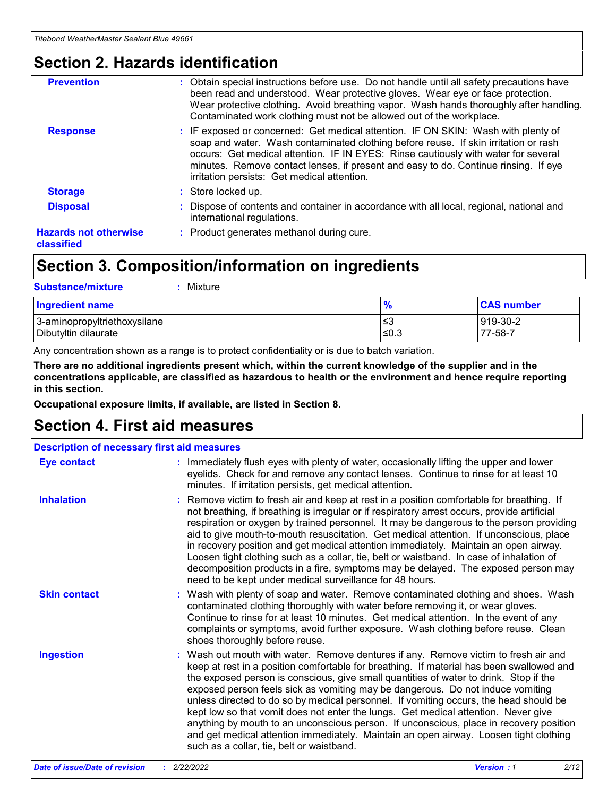### **Section 2. Hazards identification**

| <b>Prevention</b>                          | : Obtain special instructions before use. Do not handle until all safety precautions have<br>been read and understood. Wear protective gloves. Wear eye or face protection.<br>Wear protective clothing. Avoid breathing vapor. Wash hands thoroughly after handling.<br>Contaminated work clothing must not be allowed out of the workplace.                                                        |
|--------------------------------------------|------------------------------------------------------------------------------------------------------------------------------------------------------------------------------------------------------------------------------------------------------------------------------------------------------------------------------------------------------------------------------------------------------|
| <b>Response</b>                            | : IF exposed or concerned: Get medical attention. IF ON SKIN: Wash with plenty of<br>soap and water. Wash contaminated clothing before reuse. If skin irritation or rash<br>occurs: Get medical attention. IF IN EYES: Rinse cautiously with water for several<br>minutes. Remove contact lenses, if present and easy to do. Continue rinsing. If eye<br>irritation persists: Get medical attention. |
| <b>Storage</b>                             | : Store locked up.                                                                                                                                                                                                                                                                                                                                                                                   |
| <b>Disposal</b>                            | : Dispose of contents and container in accordance with all local, regional, national and<br>international regulations.                                                                                                                                                                                                                                                                               |
| <b>Hazards not otherwise</b><br>classified | : Product generates methanol during cure.                                                                                                                                                                                                                                                                                                                                                            |
|                                            |                                                                                                                                                                                                                                                                                                                                                                                                      |

### **Section 3. Composition/information on ingredients**

| <b>Substance/mixture</b><br>Mixture                  |               |                     |
|------------------------------------------------------|---------------|---------------------|
| <b>Ingredient name</b>                               | $\frac{9}{6}$ | <b>CAS number</b>   |
| 3-aminopropyltriethoxysilane<br>Dibutyltin dilaurate | ≤3<br>≤0.3    | 919-30-2<br>77-58-7 |

Any concentration shown as a range is to protect confidentiality or is due to batch variation.

**There are no additional ingredients present which, within the current knowledge of the supplier and in the concentrations applicable, are classified as hazardous to health or the environment and hence require reporting in this section.**

**Occupational exposure limits, if available, are listed in Section 8.**

### **Section 4. First aid measures**

|                     | <b>Description of necessary first aid measures</b>                                                                                                                                                                                                                                                                                                                                                                                                                                                                                                                                                                                                                                                                                                                        |  |  |  |  |
|---------------------|---------------------------------------------------------------------------------------------------------------------------------------------------------------------------------------------------------------------------------------------------------------------------------------------------------------------------------------------------------------------------------------------------------------------------------------------------------------------------------------------------------------------------------------------------------------------------------------------------------------------------------------------------------------------------------------------------------------------------------------------------------------------------|--|--|--|--|
| <b>Eye contact</b>  | : Immediately flush eyes with plenty of water, occasionally lifting the upper and lower<br>eyelids. Check for and remove any contact lenses. Continue to rinse for at least 10<br>minutes. If irritation persists, get medical attention.                                                                                                                                                                                                                                                                                                                                                                                                                                                                                                                                 |  |  |  |  |
| <b>Inhalation</b>   | : Remove victim to fresh air and keep at rest in a position comfortable for breathing. If<br>not breathing, if breathing is irregular or if respiratory arrest occurs, provide artificial<br>respiration or oxygen by trained personnel. It may be dangerous to the person providing<br>aid to give mouth-to-mouth resuscitation. Get medical attention. If unconscious, place<br>in recovery position and get medical attention immediately. Maintain an open airway.<br>Loosen tight clothing such as a collar, tie, belt or waistband. In case of inhalation of<br>decomposition products in a fire, symptoms may be delayed. The exposed person may<br>need to be kept under medical surveillance for 48 hours.                                                       |  |  |  |  |
| <b>Skin contact</b> | : Wash with plenty of soap and water. Remove contaminated clothing and shoes. Wash<br>contaminated clothing thoroughly with water before removing it, or wear gloves.<br>Continue to rinse for at least 10 minutes. Get medical attention. In the event of any<br>complaints or symptoms, avoid further exposure. Wash clothing before reuse. Clean<br>shoes thoroughly before reuse.                                                                                                                                                                                                                                                                                                                                                                                     |  |  |  |  |
| <b>Ingestion</b>    | : Wash out mouth with water. Remove dentures if any. Remove victim to fresh air and<br>keep at rest in a position comfortable for breathing. If material has been swallowed and<br>the exposed person is conscious, give small quantities of water to drink. Stop if the<br>exposed person feels sick as vomiting may be dangerous. Do not induce vomiting<br>unless directed to do so by medical personnel. If vomiting occurs, the head should be<br>kept low so that vomit does not enter the lungs. Get medical attention. Never give<br>anything by mouth to an unconscious person. If unconscious, place in recovery position<br>and get medical attention immediately. Maintain an open airway. Loosen tight clothing<br>such as a collar, tie, belt or waistband. |  |  |  |  |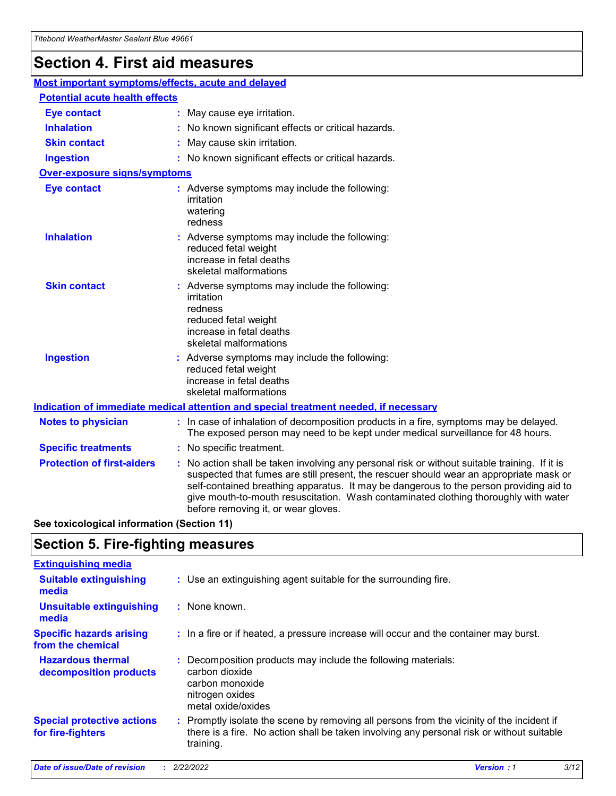## **Section 4. First aid measures**

| Most important symptoms/effects, acute and delayed |                                                                                                                                                                                                                                                                                                                                                                                                                 |
|----------------------------------------------------|-----------------------------------------------------------------------------------------------------------------------------------------------------------------------------------------------------------------------------------------------------------------------------------------------------------------------------------------------------------------------------------------------------------------|
| <b>Potential acute health effects</b>              |                                                                                                                                                                                                                                                                                                                                                                                                                 |
| <b>Eye contact</b>                                 | : May cause eye irritation.                                                                                                                                                                                                                                                                                                                                                                                     |
| <b>Inhalation</b>                                  | : No known significant effects or critical hazards.                                                                                                                                                                                                                                                                                                                                                             |
| <b>Skin contact</b>                                | : May cause skin irritation.                                                                                                                                                                                                                                                                                                                                                                                    |
| <b>Ingestion</b>                                   | : No known significant effects or critical hazards.                                                                                                                                                                                                                                                                                                                                                             |
| <b>Over-exposure signs/symptoms</b>                |                                                                                                                                                                                                                                                                                                                                                                                                                 |
| <b>Eye contact</b>                                 | : Adverse symptoms may include the following:<br>irritation<br>watering<br>redness                                                                                                                                                                                                                                                                                                                              |
| <b>Inhalation</b>                                  | : Adverse symptoms may include the following:<br>reduced fetal weight<br>increase in fetal deaths<br>skeletal malformations                                                                                                                                                                                                                                                                                     |
| <b>Skin contact</b>                                | : Adverse symptoms may include the following:<br>irritation<br>redness<br>reduced fetal weight<br>increase in fetal deaths<br>skeletal malformations                                                                                                                                                                                                                                                            |
| <b>Ingestion</b>                                   | : Adverse symptoms may include the following:<br>reduced fetal weight<br>increase in fetal deaths<br>skeletal malformations                                                                                                                                                                                                                                                                                     |
|                                                    | <b>Indication of immediate medical attention and special treatment needed, if necessary</b>                                                                                                                                                                                                                                                                                                                     |
| <b>Notes to physician</b>                          | : In case of inhalation of decomposition products in a fire, symptoms may be delayed.<br>The exposed person may need to be kept under medical surveillance for 48 hours.                                                                                                                                                                                                                                        |
| <b>Specific treatments</b>                         | : No specific treatment.                                                                                                                                                                                                                                                                                                                                                                                        |
| <b>Protection of first-aiders</b>                  | : No action shall be taken involving any personal risk or without suitable training. If it is<br>suspected that fumes are still present, the rescuer should wear an appropriate mask or<br>self-contained breathing apparatus. It may be dangerous to the person providing aid to<br>give mouth-to-mouth resuscitation. Wash contaminated clothing thoroughly with water<br>before removing it, or wear gloves. |

**See toxicological information (Section 11)**

### **Section 5. Fire-fighting measures**

| <b>Extinguishing media</b>                             |                                                                                                                                                                                                     |
|--------------------------------------------------------|-----------------------------------------------------------------------------------------------------------------------------------------------------------------------------------------------------|
| <b>Suitable extinguishing</b><br>media                 | : Use an extinguishing agent suitable for the surrounding fire.                                                                                                                                     |
| <b>Unsuitable extinguishing</b><br>media               | : None known.                                                                                                                                                                                       |
| <b>Specific hazards arising</b><br>from the chemical   | : In a fire or if heated, a pressure increase will occur and the container may burst.                                                                                                               |
| <b>Hazardous thermal</b><br>decomposition products     | : Decomposition products may include the following materials:<br>carbon dioxide<br>carbon monoxide<br>nitrogen oxides<br>metal oxide/oxides                                                         |
| <b>Special protective actions</b><br>for fire-fighters | : Promptly isolate the scene by removing all persons from the vicinity of the incident if<br>there is a fire. No action shall be taken involving any personal risk or without suitable<br>training. |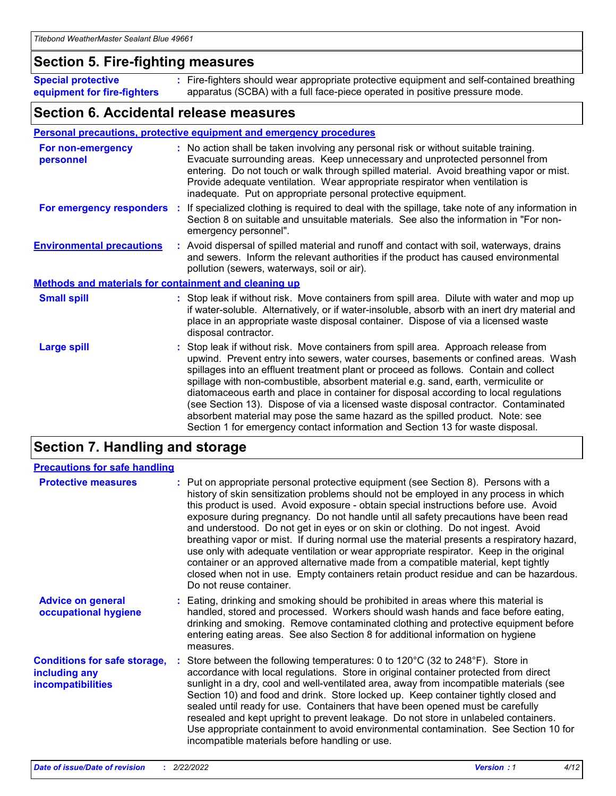### **Section 5. Fire-fighting measures**

**Special protective equipment for fire-fighters** Fire-fighters should wear appropriate protective equipment and self-contained breathing **:** apparatus (SCBA) with a full face-piece operated in positive pressure mode.

### **Section 6. Accidental release measures**

#### **Personal precautions, protective equipment and emergency procedures**

| For non-emergency<br>personnel                               | : No action shall be taken involving any personal risk or without suitable training.<br>Evacuate surrounding areas. Keep unnecessary and unprotected personnel from<br>entering. Do not touch or walk through spilled material. Avoid breathing vapor or mist.<br>Provide adequate ventilation. Wear appropriate respirator when ventilation is<br>inadequate. Put on appropriate personal protective equipment.                                                                                                                                                                                                                                                                                             |
|--------------------------------------------------------------|--------------------------------------------------------------------------------------------------------------------------------------------------------------------------------------------------------------------------------------------------------------------------------------------------------------------------------------------------------------------------------------------------------------------------------------------------------------------------------------------------------------------------------------------------------------------------------------------------------------------------------------------------------------------------------------------------------------|
|                                                              | For emergency responders : If specialized clothing is required to deal with the spillage, take note of any information in<br>Section 8 on suitable and unsuitable materials. See also the information in "For non-<br>emergency personnel".                                                                                                                                                                                                                                                                                                                                                                                                                                                                  |
| <b>Environmental precautions</b>                             | : Avoid dispersal of spilled material and runoff and contact with soil, waterways, drains<br>and sewers. Inform the relevant authorities if the product has caused environmental<br>pollution (sewers, waterways, soil or air).                                                                                                                                                                                                                                                                                                                                                                                                                                                                              |
| <b>Methods and materials for containment and cleaning up</b> |                                                                                                                                                                                                                                                                                                                                                                                                                                                                                                                                                                                                                                                                                                              |
| <b>Small spill</b>                                           | : Stop leak if without risk. Move containers from spill area. Dilute with water and mop up<br>if water-soluble. Alternatively, or if water-insoluble, absorb with an inert dry material and<br>place in an appropriate waste disposal container. Dispose of via a licensed waste<br>disposal contractor.                                                                                                                                                                                                                                                                                                                                                                                                     |
| <b>Large spill</b>                                           | : Stop leak if without risk. Move containers from spill area. Approach release from<br>upwind. Prevent entry into sewers, water courses, basements or confined areas. Wash<br>spillages into an effluent treatment plant or proceed as follows. Contain and collect<br>spillage with non-combustible, absorbent material e.g. sand, earth, vermiculite or<br>diatomaceous earth and place in container for disposal according to local regulations<br>(see Section 13). Dispose of via a licensed waste disposal contractor. Contaminated<br>absorbent material may pose the same hazard as the spilled product. Note: see<br>Section 1 for emergency contact information and Section 13 for waste disposal. |

### **Section 7. Handling and storage**

| <b>Precautions for safe handling</b>                                             |                                                                                                                                                                                                                                                                                                                                                                                                                                                                                                                                                                                                                                                                                                                                                                                                                                                  |
|----------------------------------------------------------------------------------|--------------------------------------------------------------------------------------------------------------------------------------------------------------------------------------------------------------------------------------------------------------------------------------------------------------------------------------------------------------------------------------------------------------------------------------------------------------------------------------------------------------------------------------------------------------------------------------------------------------------------------------------------------------------------------------------------------------------------------------------------------------------------------------------------------------------------------------------------|
| <b>Protective measures</b>                                                       | : Put on appropriate personal protective equipment (see Section 8). Persons with a<br>history of skin sensitization problems should not be employed in any process in which<br>this product is used. Avoid exposure - obtain special instructions before use. Avoid<br>exposure during pregnancy. Do not handle until all safety precautions have been read<br>and understood. Do not get in eyes or on skin or clothing. Do not ingest. Avoid<br>breathing vapor or mist. If during normal use the material presents a respiratory hazard,<br>use only with adequate ventilation or wear appropriate respirator. Keep in the original<br>container or an approved alternative made from a compatible material, kept tightly<br>closed when not in use. Empty containers retain product residue and can be hazardous.<br>Do not reuse container. |
| <b>Advice on general</b><br>occupational hygiene                                 | : Eating, drinking and smoking should be prohibited in areas where this material is<br>handled, stored and processed. Workers should wash hands and face before eating,<br>drinking and smoking. Remove contaminated clothing and protective equipment before<br>entering eating areas. See also Section 8 for additional information on hygiene<br>measures.                                                                                                                                                                                                                                                                                                                                                                                                                                                                                    |
| <b>Conditions for safe storage,</b><br>including any<br><b>incompatibilities</b> | Store between the following temperatures: 0 to 120°C (32 to 248°F). Store in<br>accordance with local regulations. Store in original container protected from direct<br>sunlight in a dry, cool and well-ventilated area, away from incompatible materials (see<br>Section 10) and food and drink. Store locked up. Keep container tightly closed and<br>sealed until ready for use. Containers that have been opened must be carefully<br>resealed and kept upright to prevent leakage. Do not store in unlabeled containers.<br>Use appropriate containment to avoid environmental contamination. See Section 10 for<br>incompatible materials before handling or use.                                                                                                                                                                         |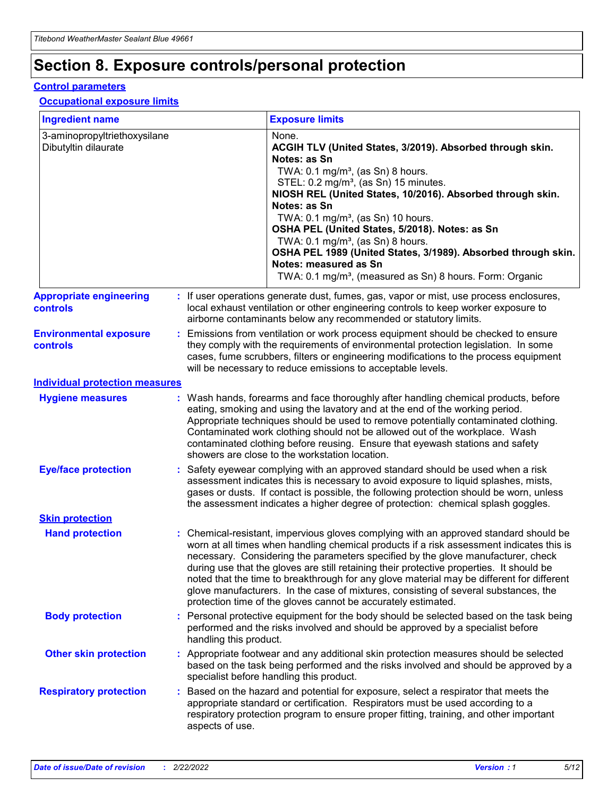## **Section 8. Exposure controls/personal protection**

#### **Control parameters**

#### **Occupational exposure limits**

| <b>Ingredient name</b>                               |    |                        | <b>Exposure limits</b>                                                                                                                                                                                                                                                                                                                                                                                                                                                                                                                                                                                                 |
|------------------------------------------------------|----|------------------------|------------------------------------------------------------------------------------------------------------------------------------------------------------------------------------------------------------------------------------------------------------------------------------------------------------------------------------------------------------------------------------------------------------------------------------------------------------------------------------------------------------------------------------------------------------------------------------------------------------------------|
| 3-aminopropyltriethoxysilane<br>Dibutyltin dilaurate |    |                        | None.<br>ACGIH TLV (United States, 3/2019). Absorbed through skin.<br>Notes: as Sn<br>TWA: 0.1 mg/m <sup>3</sup> , (as Sn) 8 hours.<br>STEL: 0.2 mg/m <sup>3</sup> , (as Sn) 15 minutes.<br>NIOSH REL (United States, 10/2016). Absorbed through skin.<br>Notes: as Sn<br>TWA: 0.1 mg/m <sup>3</sup> , (as Sn) 10 hours.<br>OSHA PEL (United States, 5/2018). Notes: as Sn<br>TWA: $0.1 \text{ mg/m}^3$ , (as Sn) 8 hours.<br>OSHA PEL 1989 (United States, 3/1989). Absorbed through skin.<br>Notes: measured as Sn<br>TWA: 0.1 mg/m <sup>3</sup> , (measured as Sn) 8 hours. Form: Organic                           |
| <b>Appropriate engineering</b><br>controls           |    |                        | : If user operations generate dust, fumes, gas, vapor or mist, use process enclosures,<br>local exhaust ventilation or other engineering controls to keep worker exposure to<br>airborne contaminants below any recommended or statutory limits.                                                                                                                                                                                                                                                                                                                                                                       |
| <b>Environmental exposure</b><br><b>controls</b>     |    |                        | Emissions from ventilation or work process equipment should be checked to ensure<br>they comply with the requirements of environmental protection legislation. In some<br>cases, fume scrubbers, filters or engineering modifications to the process equipment<br>will be necessary to reduce emissions to acceptable levels.                                                                                                                                                                                                                                                                                          |
| <b>Individual protection measures</b>                |    |                        |                                                                                                                                                                                                                                                                                                                                                                                                                                                                                                                                                                                                                        |
| <b>Hygiene measures</b>                              |    |                        | : Wash hands, forearms and face thoroughly after handling chemical products, before<br>eating, smoking and using the lavatory and at the end of the working period.<br>Appropriate techniques should be used to remove potentially contaminated clothing.<br>Contaminated work clothing should not be allowed out of the workplace. Wash<br>contaminated clothing before reusing. Ensure that eyewash stations and safety<br>showers are close to the workstation location.                                                                                                                                            |
| <b>Eye/face protection</b>                           |    |                        | : Safety eyewear complying with an approved standard should be used when a risk<br>assessment indicates this is necessary to avoid exposure to liquid splashes, mists,<br>gases or dusts. If contact is possible, the following protection should be worn, unless<br>the assessment indicates a higher degree of protection: chemical splash goggles.                                                                                                                                                                                                                                                                  |
| <b>Skin protection</b>                               |    |                        |                                                                                                                                                                                                                                                                                                                                                                                                                                                                                                                                                                                                                        |
| <b>Hand protection</b>                               |    |                        | : Chemical-resistant, impervious gloves complying with an approved standard should be<br>worn at all times when handling chemical products if a risk assessment indicates this is<br>necessary. Considering the parameters specified by the glove manufacturer, check<br>during use that the gloves are still retaining their protective properties. It should be<br>noted that the time to breakthrough for any glove material may be different for different<br>glove manufacturers. In the case of mixtures, consisting of several substances, the<br>protection time of the gloves cannot be accurately estimated. |
| <b>Body protection</b>                               |    | handling this product. | Personal protective equipment for the body should be selected based on the task being<br>performed and the risks involved and should be approved by a specialist before                                                                                                                                                                                                                                                                                                                                                                                                                                                |
| <b>Other skin protection</b>                         |    |                        | : Appropriate footwear and any additional skin protection measures should be selected<br>based on the task being performed and the risks involved and should be approved by a<br>specialist before handling this product.                                                                                                                                                                                                                                                                                                                                                                                              |
| <b>Respiratory protection</b>                        | ÷. | aspects of use.        | Based on the hazard and potential for exposure, select a respirator that meets the<br>appropriate standard or certification. Respirators must be used according to a<br>respiratory protection program to ensure proper fitting, training, and other important                                                                                                                                                                                                                                                                                                                                                         |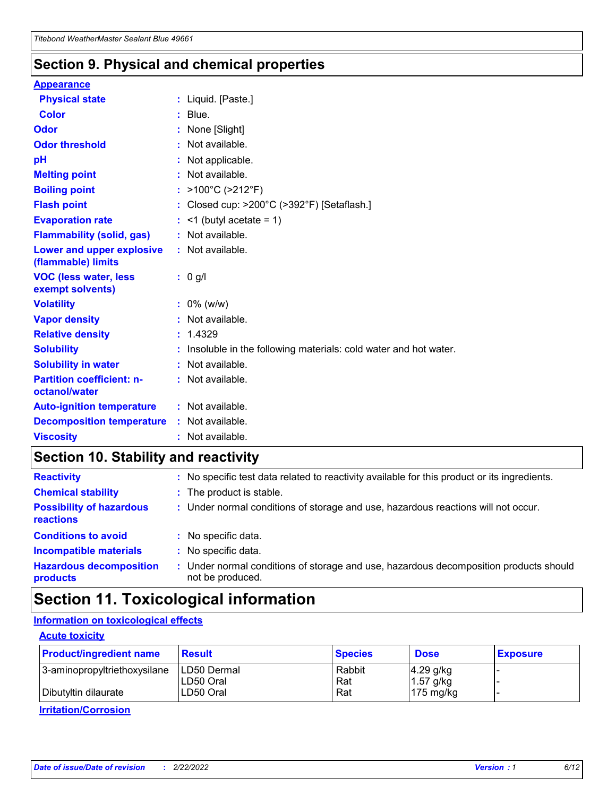### **Section 9. Physical and chemical properties**

#### **Appearance**

| <b>Physical state</b>                             | : Liquid. [Paste.]                                              |
|---------------------------------------------------|-----------------------------------------------------------------|
| <b>Color</b>                                      | $:$ Blue.                                                       |
| Odor                                              | : None [Slight]                                                 |
| <b>Odor threshold</b>                             | $:$ Not available.                                              |
| рH                                                | : Not applicable.                                               |
| <b>Melting point</b>                              | : Not available.                                                |
| <b>Boiling point</b>                              | : $>100^{\circ}$ C ( $>212^{\circ}$ F)                          |
| <b>Flash point</b>                                | : Closed cup: >200°C (>392°F) [Setaflash.]                      |
| <b>Evaporation rate</b>                           | $:$ <1 (butyl acetate = 1)                                      |
| <b>Flammability (solid, gas)</b>                  | : Not available.                                                |
| Lower and upper explosive<br>(flammable) limits   | : Not available.                                                |
| <b>VOC (less water, less</b><br>exempt solvents)  | $: 0$ g/l                                                       |
| <b>Volatility</b>                                 | $: 0\%$ (w/w)                                                   |
| <b>Vapor density</b>                              | : Not available.                                                |
| <b>Relative density</b>                           | : 1.4329                                                        |
| <b>Solubility</b>                                 | Insoluble in the following materials: cold water and hot water. |
| <b>Solubility in water</b>                        | : Not available.                                                |
| <b>Partition coefficient: n-</b><br>octanol/water | $:$ Not available.                                              |
| <b>Auto-ignition temperature</b>                  | $:$ Not available.                                              |
| <b>Decomposition temperature</b>                  | : Not available.                                                |
| <b>Viscosity</b>                                  | : Not available.                                                |

### **Section 10. Stability and reactivity**

| <b>Reactivity</b>                            | : No specific test data related to reactivity available for this product or its ingredients.            |
|----------------------------------------------|---------------------------------------------------------------------------------------------------------|
| <b>Chemical stability</b>                    | : The product is stable.                                                                                |
| <b>Possibility of hazardous</b><br>reactions | : Under normal conditions of storage and use, hazardous reactions will not occur.                       |
| <b>Conditions to avoid</b>                   | : No specific data.                                                                                     |
| <b>Incompatible materials</b>                | : No specific data.                                                                                     |
| <b>Hazardous decomposition</b><br>products   | Under normal conditions of storage and use, hazardous decomposition products should<br>not be produced. |

### **Section 11. Toxicological information**

### **Information on toxicological effects**

#### **Acute toxicity**

| <b>Product/ingredient name</b> | <b>Result</b>           | <b>Species</b> | <b>Dose</b>                | <b>Exposure</b> |
|--------------------------------|-------------------------|----------------|----------------------------|-----------------|
| 3-aminopropyltriethoxysilane   | <b>ILD50 Dermal</b>     | Rabbit         | 4.29 g/kg                  |                 |
| Dibutyltin dilaurate           | ILD50 Oral<br>LD50 Oral | Rat<br>Rat     | $1.57$ g/kg<br>175 $mg/kg$ |                 |
|                                |                         |                |                            |                 |

**Irritation/Corrosion**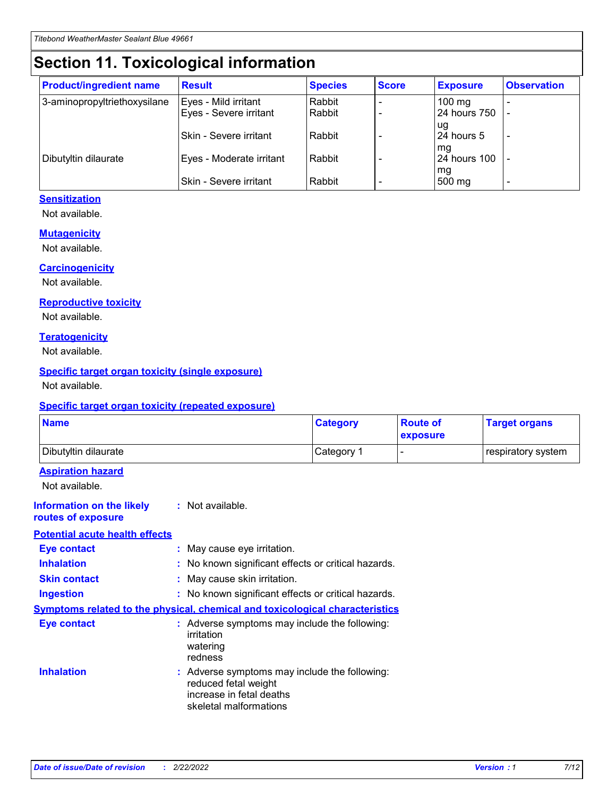## **Section 11. Toxicological information**

| <b>Product/ingredient name</b> | <b>Result</b>            | <b>Species</b> | <b>Score</b> | <b>Exposure</b>           | <b>Observation</b> |
|--------------------------------|--------------------------|----------------|--------------|---------------------------|--------------------|
| 3-aminopropyltriethoxysilane   | Eyes - Mild irritant     | Rabbit         |              | $100$ mg                  |                    |
|                                | Eyes - Severe irritant   | Rabbit         |              | 24 hours 750              |                    |
|                                |                          |                |              | ug                        |                    |
|                                | Skin - Severe irritant   | Rabbit         |              | 24 hours 5                | -                  |
| Dibutyltin dilaurate           | Eyes - Moderate irritant | Rabbit         |              | mq<br><b>24 hours 100</b> |                    |
|                                |                          |                |              | mg                        |                    |
|                                | Skin - Severe irritant   | Rabbit         |              | 500 mg                    |                    |

#### **Sensitization**

Not available.

#### **Mutagenicity**

Not available.

#### **Carcinogenicity**

Not available.

#### **Reproductive toxicity**

Not available.

#### **Teratogenicity**

Not available.

#### **Specific target organ toxicity (single exposure)**

Not available.

#### **Specific target organ toxicity (repeated exposure)**

| <b>Name</b>                                                                  |                                                                                                                             | <b>Category</b> | <b>Route of</b><br>exposure  | <b>Target organs</b> |
|------------------------------------------------------------------------------|-----------------------------------------------------------------------------------------------------------------------------|-----------------|------------------------------|----------------------|
| Dibutyltin dilaurate                                                         |                                                                                                                             | Category 1      | $\qquad \qquad \blacksquare$ | respiratory system   |
| <b>Aspiration hazard</b><br>Not available.                                   |                                                                                                                             |                 |                              |                      |
| <b>Information on the likely</b><br>routes of exposure                       | : Not available.                                                                                                            |                 |                              |                      |
| <b>Potential acute health effects</b>                                        |                                                                                                                             |                 |                              |                      |
| <b>Eye contact</b>                                                           | : May cause eye irritation.                                                                                                 |                 |                              |                      |
| <b>Inhalation</b>                                                            | : No known significant effects or critical hazards.                                                                         |                 |                              |                      |
| <b>Skin contact</b>                                                          | : May cause skin irritation.                                                                                                |                 |                              |                      |
| <b>Ingestion</b>                                                             | : No known significant effects or critical hazards.                                                                         |                 |                              |                      |
| Symptoms related to the physical, chemical and toxicological characteristics |                                                                                                                             |                 |                              |                      |
| <b>Eye contact</b>                                                           | : Adverse symptoms may include the following:<br>irritation<br>watering<br>redness                                          |                 |                              |                      |
| <b>Inhalation</b>                                                            | : Adverse symptoms may include the following:<br>reduced fetal weight<br>increase in fetal deaths<br>skeletal malformations |                 |                              |                      |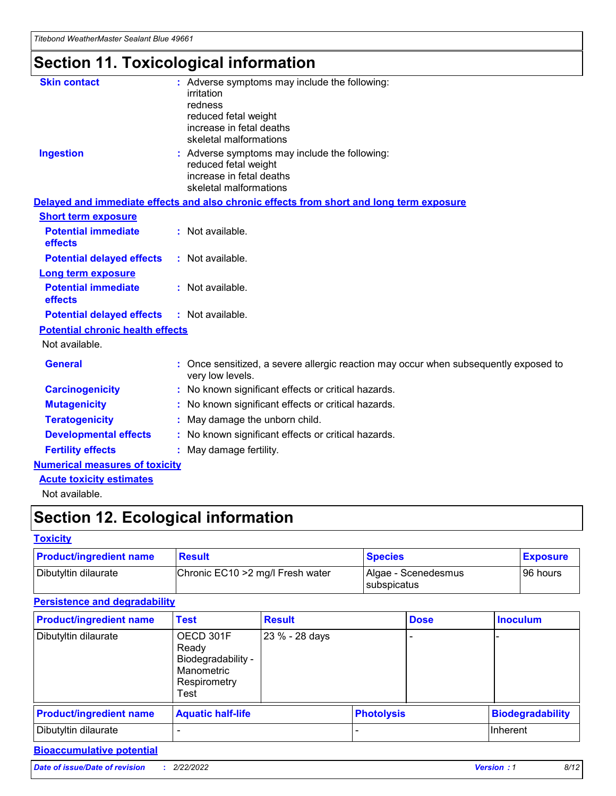## **Section 11. Toxicological information**

| <b>Skin contact</b>                     | : Adverse symptoms may include the following:<br>irritation<br>redness<br>reduced fetal weight<br>increase in fetal deaths<br>skeletal malformations |
|-----------------------------------------|------------------------------------------------------------------------------------------------------------------------------------------------------|
| <b>Ingestion</b>                        | : Adverse symptoms may include the following:<br>reduced fetal weight<br>increase in fetal deaths<br>skeletal malformations                          |
|                                         | Delayed and immediate effects and also chronic effects from short and long term exposure                                                             |
| <b>Short term exposure</b>              |                                                                                                                                                      |
| <b>Potential immediate</b><br>effects   | : Not available.                                                                                                                                     |
| <b>Potential delayed effects</b>        | : Not available.                                                                                                                                     |
| <b>Long term exposure</b>               |                                                                                                                                                      |
| <b>Potential immediate</b><br>effects   | : Not available.                                                                                                                                     |
| <b>Potential delayed effects</b>        | : Not available.                                                                                                                                     |
| <b>Potential chronic health effects</b> |                                                                                                                                                      |
| Not available.                          |                                                                                                                                                      |
| <b>General</b>                          | : Once sensitized, a severe allergic reaction may occur when subsequently exposed to<br>very low levels.                                             |
| <b>Carcinogenicity</b>                  | : No known significant effects or critical hazards.                                                                                                  |
| <b>Mutagenicity</b>                     | No known significant effects or critical hazards.                                                                                                    |
| <b>Teratogenicity</b>                   | May damage the unborn child.                                                                                                                         |
| <b>Developmental effects</b>            | No known significant effects or critical hazards.                                                                                                    |
| <b>Fertility effects</b>                | : May damage fertility.                                                                                                                              |
| <b>Numerical measures of toxicity</b>   |                                                                                                                                                      |
| <b>Acute toxicity estimates</b>         |                                                                                                                                                      |
|                                         |                                                                                                                                                      |

Not available.

## **Section 12. Ecological information**

#### **Toxicity**

| <b>Product/ingredient name</b> | <b>Result</b>                     | <b>Species</b>                       | <b>Exposure</b> |
|--------------------------------|-----------------------------------|--------------------------------------|-----------------|
| Dibutyltin dilaurate           | Chronic EC10 > 2 mg/l Fresh water | Algae - Scenedesmus<br>I subspicatus | l 96 hours      |

#### **Persistence and degradability**

| <b>Product/ingredient name</b> | Test                                                                           | <b>Result</b>  |                   | <b>Dose</b> | <b>Inoculum</b>         |
|--------------------------------|--------------------------------------------------------------------------------|----------------|-------------------|-------------|-------------------------|
| Dibutyltin dilaurate           | OECD 301F<br>Ready<br>Biodegradability -<br>Manometric<br>Respirometry<br>Test | 23 % - 28 days |                   |             |                         |
| <b>Product/ingredient name</b> | <b>Aquatic half-life</b>                                                       |                | <b>Photolysis</b> |             | <b>Biodegradability</b> |
| Dibutyltin dilaurate           |                                                                                |                |                   |             | Inherent                |

#### **Bioaccumulative potential**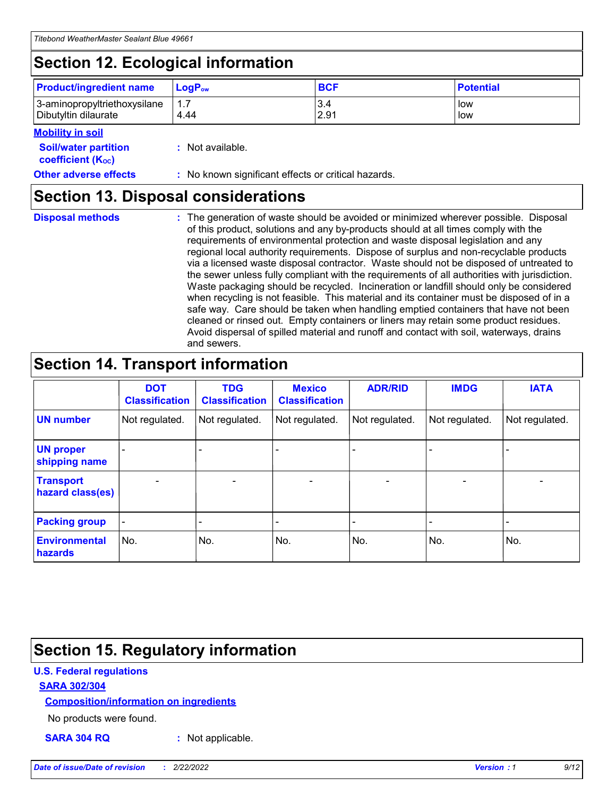## **Section 12. Ecological information**

| <b>Product/ingredient name</b>                       | ∣LoqP <sub>ow</sub> | <b>BCF</b>  | <b>Potential</b> |
|------------------------------------------------------|---------------------|-------------|------------------|
| 3-aminopropyltriethoxysilane<br>Dibutyltin dilaurate | 1.1<br>4.44         | 3.4<br>2.91 | low<br>low       |

#### **Mobility in soil**

| <b>Soil/water partition</b><br>coefficient (K <sub>oc</sub> ) | : Not available.                                    |
|---------------------------------------------------------------|-----------------------------------------------------|
| <b>Other adverse effects</b>                                  | : No known significant effects or critical hazards. |

### **Section 13. Disposal considerations**

**Disposal methods :**

The generation of waste should be avoided or minimized wherever possible. Disposal of this product, solutions and any by-products should at all times comply with the requirements of environmental protection and waste disposal legislation and any regional local authority requirements. Dispose of surplus and non-recyclable products via a licensed waste disposal contractor. Waste should not be disposed of untreated to the sewer unless fully compliant with the requirements of all authorities with jurisdiction. Waste packaging should be recycled. Incineration or landfill should only be considered when recycling is not feasible. This material and its container must be disposed of in a safe way. Care should be taken when handling emptied containers that have not been cleaned or rinsed out. Empty containers or liners may retain some product residues. Avoid dispersal of spilled material and runoff and contact with soil, waterways, drains and sewers.

### **Section 14. Transport information**

|                                      | <b>DOT</b><br><b>Classification</b> | <b>TDG</b><br><b>Classification</b> | <b>Mexico</b><br><b>Classification</b> | <b>ADR/RID</b> | <b>IMDG</b>              | <b>IATA</b>              |
|--------------------------------------|-------------------------------------|-------------------------------------|----------------------------------------|----------------|--------------------------|--------------------------|
| <b>UN number</b>                     | Not regulated.                      | Not regulated.                      | Not regulated.                         | Not regulated. | Not regulated.           | Not regulated.           |
| <b>UN proper</b><br>shipping name    | $\blacksquare$                      |                                     |                                        |                |                          |                          |
| <b>Transport</b><br>hazard class(es) | $\blacksquare$                      | $\overline{\phantom{a}}$            | $\blacksquare$                         | $\blacksquare$ | $\overline{\phantom{a}}$ | $\blacksquare$           |
| <b>Packing group</b>                 | $\overline{\phantom{a}}$            | $\overline{\phantom{0}}$            | $\overline{\phantom{a}}$               | -              | $\overline{\phantom{0}}$ | $\overline{\phantom{a}}$ |
| <b>Environmental</b><br>hazards      | No.                                 | No.                                 | No.                                    | No.            | No.                      | No.                      |

### **Section 15. Regulatory information**

#### **U.S. Federal regulations**

#### **SARA 302/304**

#### **Composition/information on ingredients**

No products were found.

**SARA 304 RQ :** Not applicable.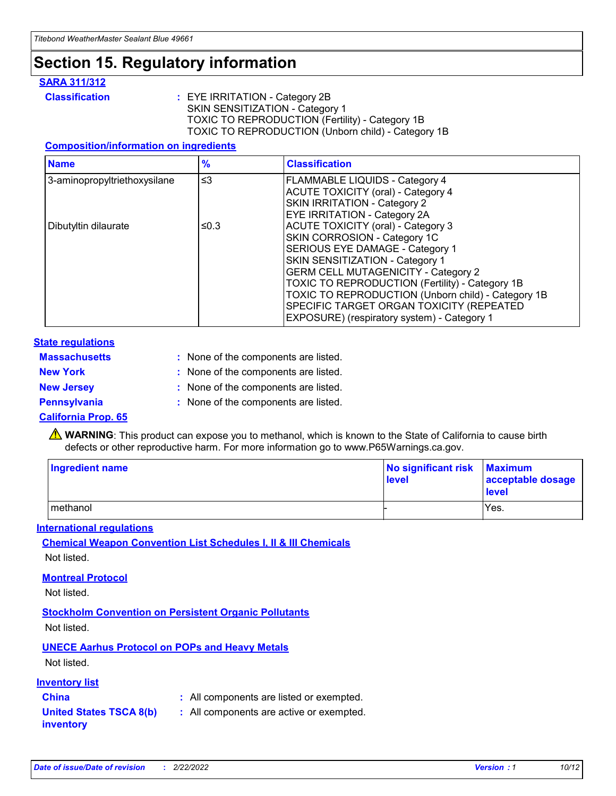## **Section 15. Regulatory information**

#### **SARA 311/312**

**Classification :** EYE IRRITATION - Category 2B SKIN SENSITIZATION - Category 1 TOXIC TO REPRODUCTION (Fertility) - Category 1B TOXIC TO REPRODUCTION (Unborn child) - Category 1B

#### **Composition/information on ingredients**

| <b>Name</b>                  | $\frac{9}{6}$ | <b>Classification</b>                                                                                            |
|------------------------------|---------------|------------------------------------------------------------------------------------------------------------------|
| 3-aminopropyltriethoxysilane | $\leq$ 3      | <b>FLAMMABLE LIQUIDS - Category 4</b><br><b>ACUTE TOXICITY (oral) - Category 4</b>                               |
|                              |               | SKIN IRRITATION - Category 2<br>EYE IRRITATION - Category 2A                                                     |
| Dibutyltin dilaurate         | ≤0.3          | ACUTE TOXICITY (oral) - Category 3<br>SKIN CORROSION - Category 1C                                               |
|                              |               | SERIOUS EYE DAMAGE - Category 1<br>SKIN SENSITIZATION - Category 1<br><b>GERM CELL MUTAGENICITY - Category 2</b> |
|                              |               | TOXIC TO REPRODUCTION (Fertility) - Category 1B<br>TOXIC TO REPRODUCTION (Unborn child) - Category 1B            |
|                              |               | SPECIFIC TARGET ORGAN TOXICITY (REPEATED<br>EXPOSURE) (respiratory system) - Category 1                          |

#### **State regulations**

| <b>Massachusetts</b> | : None of the components are listed. |
|----------------------|--------------------------------------|
| <b>New York</b>      | : None of the components are listed. |
| <b>New Jersey</b>    | : None of the components are listed. |
| <b>Pennsylvania</b>  | : None of the components are listed. |

#### **California Prop. 65**

**A** WARNING: This product can expose you to methanol, which is known to the State of California to cause birth defects or other reproductive harm. For more information go to www.P65Warnings.ca.gov.

| <b>Ingredient name</b> | No significant risk Maximum<br>level | acceptable dosage<br>level |
|------------------------|--------------------------------------|----------------------------|
| methanol               |                                      | Yes.                       |

#### **International regulations**

**Chemical Weapon Convention List Schedules I, II & III Chemicals** Not listed.

#### **Montreal Protocol**

Not listed.

**Stockholm Convention on Persistent Organic Pollutants**

Not listed.

### **UNECE Aarhus Protocol on POPs and Heavy Metals**

Not listed.

#### **Inventory list**

### **China :** All components are listed or exempted.

**United States TSCA 8(b) inventory :** All components are active or exempted.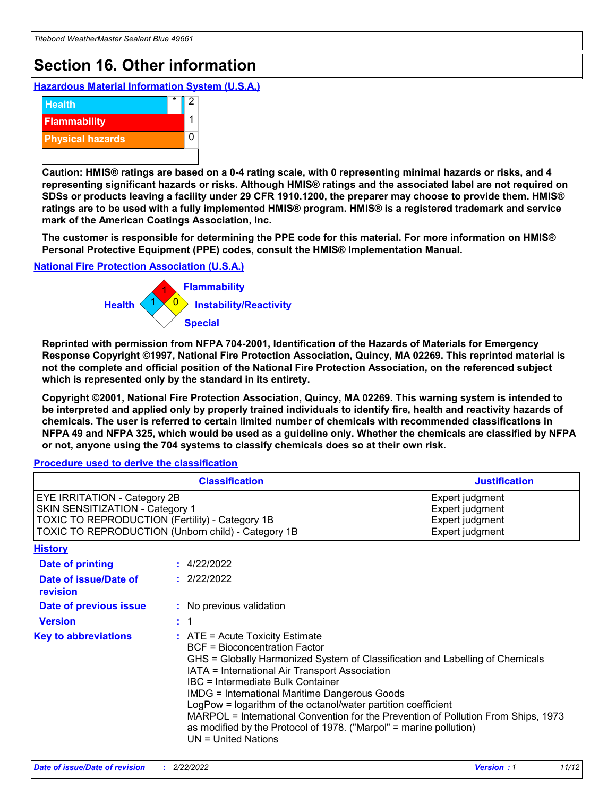## **Section 16. Other information**

**Hazardous Material Information System (U.S.A.)**



**Caution: HMIS® ratings are based on a 0-4 rating scale, with 0 representing minimal hazards or risks, and 4 representing significant hazards or risks. Although HMIS® ratings and the associated label are not required on SDSs or products leaving a facility under 29 CFR 1910.1200, the preparer may choose to provide them. HMIS® ratings are to be used with a fully implemented HMIS® program. HMIS® is a registered trademark and service mark of the American Coatings Association, Inc.**

**The customer is responsible for determining the PPE code for this material. For more information on HMIS® Personal Protective Equipment (PPE) codes, consult the HMIS® Implementation Manual.**

#### **National Fire Protection Association (U.S.A.)**



**Reprinted with permission from NFPA 704-2001, Identification of the Hazards of Materials for Emergency Response Copyright ©1997, National Fire Protection Association, Quincy, MA 02269. This reprinted material is not the complete and official position of the National Fire Protection Association, on the referenced subject which is represented only by the standard in its entirety.**

**Copyright ©2001, National Fire Protection Association, Quincy, MA 02269. This warning system is intended to be interpreted and applied only by properly trained individuals to identify fire, health and reactivity hazards of chemicals. The user is referred to certain limited number of chemicals with recommended classifications in NFPA 49 and NFPA 325, which would be used as a guideline only. Whether the chemicals are classified by NFPA or not, anyone using the 704 systems to classify chemicals does so at their own risk.**

#### **Procedure used to derive the classification**

| <b>Classification</b>                                                                                                     |                                                                                                                                                                                                                                                                                                                                                                                                                                                                                                                                                                          | <b>Justification</b>                                                     |
|---------------------------------------------------------------------------------------------------------------------------|--------------------------------------------------------------------------------------------------------------------------------------------------------------------------------------------------------------------------------------------------------------------------------------------------------------------------------------------------------------------------------------------------------------------------------------------------------------------------------------------------------------------------------------------------------------------------|--------------------------------------------------------------------------|
| <b>EYE IRRITATION - Category 2B</b><br>SKIN SENSITIZATION - Category 1<br>TOXIC TO REPRODUCTION (Fertility) - Category 1B | TOXIC TO REPRODUCTION (Unborn child) - Category 1B                                                                                                                                                                                                                                                                                                                                                                                                                                                                                                                       | Expert judgment<br>Expert judgment<br>Expert judgment<br>Expert judgment |
| <b>History</b>                                                                                                            |                                                                                                                                                                                                                                                                                                                                                                                                                                                                                                                                                                          |                                                                          |
| <b>Date of printing</b>                                                                                                   | : 4/22/2022                                                                                                                                                                                                                                                                                                                                                                                                                                                                                                                                                              |                                                                          |
| Date of issue/Date of<br>revision                                                                                         | : 2/22/2022                                                                                                                                                                                                                                                                                                                                                                                                                                                                                                                                                              |                                                                          |
| Date of previous issue                                                                                                    | : No previous validation                                                                                                                                                                                                                                                                                                                                                                                                                                                                                                                                                 |                                                                          |
| <b>Version</b>                                                                                                            | $\therefore$ 1                                                                                                                                                                                                                                                                                                                                                                                                                                                                                                                                                           |                                                                          |
| <b>Key to abbreviations</b>                                                                                               | $\therefore$ ATE = Acute Toxicity Estimate<br><b>BCF</b> = Bioconcentration Factor<br>GHS = Globally Harmonized System of Classification and Labelling of Chemicals<br>IATA = International Air Transport Association<br>IBC = Intermediate Bulk Container<br><b>IMDG = International Maritime Dangerous Goods</b><br>LogPow = logarithm of the octanol/water partition coefficient<br>MARPOL = International Convention for the Prevention of Pollution From Ships, 1973<br>as modified by the Protocol of 1978. ("Marpol" = marine pollution)<br>$UN = United Nations$ |                                                                          |